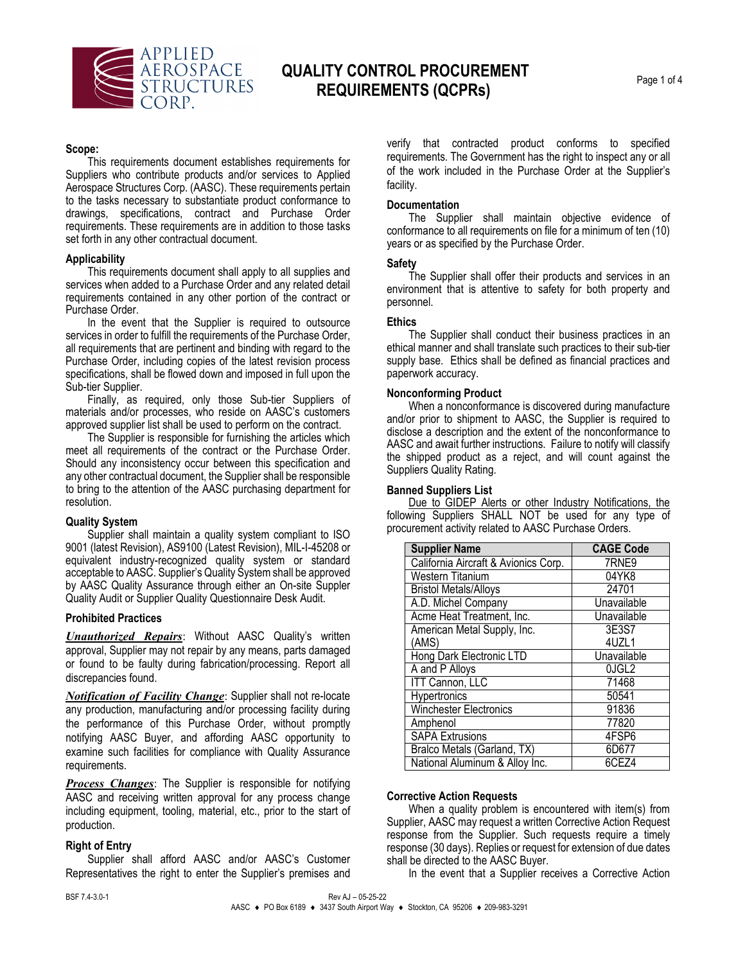

## **QUALITY CONTROL PROCUREMENT REQUIREMENTS (QCPRs)** Page 1 of 4

## **Scope:**

This requirements document establishes requirements for Suppliers who contribute products and/or services to Applied Aerospace Structures Corp. (AASC). These requirements pertain to the tasks necessary to substantiate product conformance to drawings, specifications, contract and Purchase Order requirements. These requirements are in addition to those tasks set forth in any other contractual document.

#### **Applicability**

This requirements document shall apply to all supplies and services when added to a Purchase Order and any related detail requirements contained in any other portion of the contract or Purchase Order.

In the event that the Supplier is required to outsource services in order to fulfill the requirements of the Purchase Order, all requirements that are pertinent and binding with regard to the Purchase Order, including copies of the latest revision process specifications, shall be flowed down and imposed in full upon the Sub-tier Supplier.

Finally, as required, only those Sub-tier Suppliers of materials and/or processes, who reside on AASC's customers approved supplier list shall be used to perform on the contract.

The Supplier is responsible for furnishing the articles which meet all requirements of the contract or the Purchase Order. Should any inconsistency occur between this specification and any other contractual document, the Supplier shall be responsible to bring to the attention of the AASC purchasing department for resolution.

#### **Quality System**

Supplier shall maintain a quality system compliant to ISO 9001 (latest Revision), AS9100 (Latest Revision), MIL-I-45208 or equivalent industry-recognized quality system or standard acceptable to AASC. Supplier's Quality System shall be approved by AASC Quality Assurance through either an On-site Suppler Quality Audit or Supplier Quality Questionnaire Desk Audit.

#### **Prohibited Practices**

*Unauthorized Repairs*: Without AASC Quality's written approval, Supplier may not repair by any means, parts damaged or found to be faulty during fabrication/processing. Report all discrepancies found.

*Notification of Facility Change*: Supplier shall not re-locate any production, manufacturing and/or processing facility during the performance of this Purchase Order, without promptly notifying AASC Buyer, and affording AASC opportunity to examine such facilities for compliance with Quality Assurance requirements.

*Process Changes*: The Supplier is responsible for notifying AASC and receiving written approval for any process change including equipment, tooling, material, etc., prior to the start of production.

## **Right of Entry**

Supplier shall afford AASC and/or AASC's Customer Representatives the right to enter the Supplier's premises and verify that contracted product conforms to specified requirements. The Government has the right to inspect any or all of the work included in the Purchase Order at the Supplier's facility.

#### **Documentation**

The Supplier shall maintain objective evidence of conformance to all requirements on file for a minimum of ten (10) years or as specified by the Purchase Order.

#### **Safety**

The Supplier shall offer their products and services in an environment that is attentive to safety for both property and personnel.

#### **Ethics**

The Supplier shall conduct their business practices in an ethical manner and shall translate such practices to their sub-tier supply base. Ethics shall be defined as financial practices and paperwork accuracy.

#### **Nonconforming Product**

When a nonconformance is discovered during manufacture and/or prior to shipment to AASC, the Supplier is required to disclose a description and the extent of the nonconformance to AASC and await further instructions. Failure to notify will classify the shipped product as a reject, and will count against the Suppliers Quality Rating.

## **Banned Suppliers List**

Due to GIDEP Alerts or other Industry Notifications, the following Suppliers SHALL NOT be used for any type of procurement activity related to AASC Purchase Orders.

| <b>Supplier Name</b>                 | <b>CAGE Code</b>  |
|--------------------------------------|-------------------|
| California Aircraft & Avionics Corp. | 7RNE9             |
| Western Titanium                     | 04YK8             |
| <b>Bristol Metals/Alloys</b>         | 24701             |
| A.D. Michel Company                  | Unavailable       |
| Acme Heat Treatment, Inc.            | Unavailable       |
| American Metal Supply, Inc.          | 3E3S7             |
| (AMS)                                | 4UZL1             |
| Hong Dark Electronic LTD             | Unavailable       |
| A and P Alloys                       | 0JGL <sub>2</sub> |
| <b>ITT Cannon, LLC</b>               | 71468             |
| Hypertronics                         | 50541             |
| <b>Winchester Electronics</b>        | 91836             |
| Amphenol                             | 77820             |
| <b>SAPA Extrusions</b>               | 4FSP6             |
| Bralco Metals (Garland, TX)          | 6D677             |
| National Aluminum & Alloy Inc.       | 6CEZ4             |

## **Corrective Action Requests**

When a quality problem is encountered with item(s) from Supplier, AASC may request a written Corrective Action Request response from the Supplier. Such requests require a timely response (30 days). Replies or request for extension of due dates shall be directed to the AASC Buyer.

In the event that a Supplier receives a Corrective Action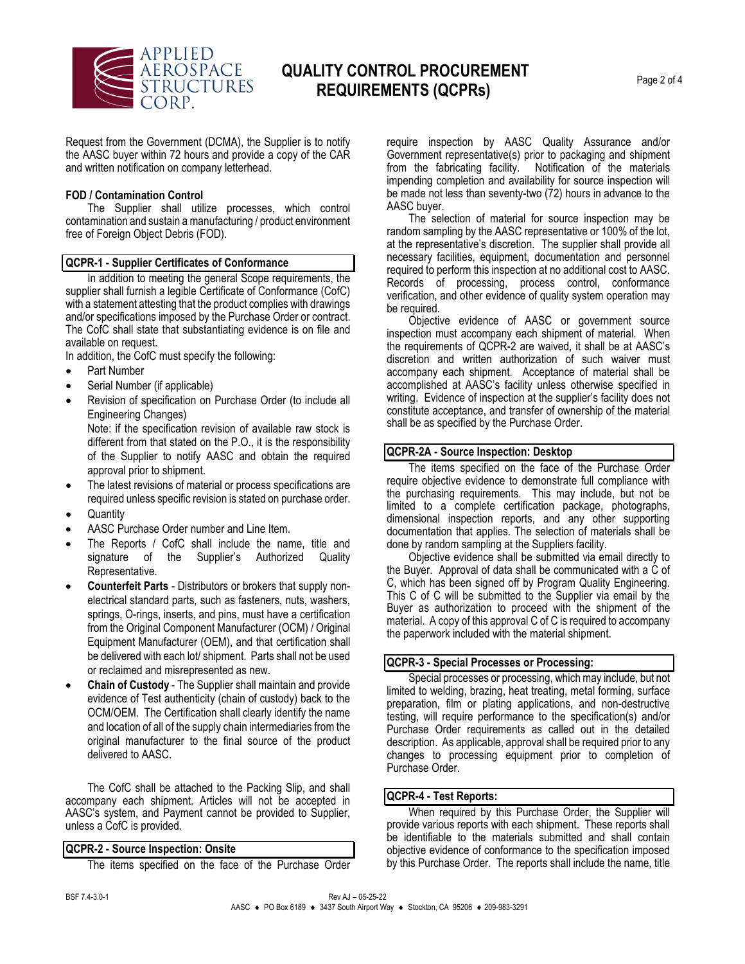

## **QUALITY CONTROL PROCUREMENT REQUIREMENTS (QCPRs)** Page 2 of 4

Request from the Government (DCMA), the Supplier is to notify the AASC buyer within 72 hours and provide a copy of the CAR and written notification on company letterhead.

#### **FOD / Contamination Control**

The Supplier shall utilize processes, which control contamination and sustain a manufacturing / product environment free of Foreign Object Debris (FOD).

#### **QCPR-1 - Supplier Certificates of Conformance**

In addition to meeting the general Scope requirements, the supplier shall furnish a legible Certificate of Conformance (CofC) with a statement attesting that the product complies with drawings and/or specifications imposed by the Purchase Order or contract. The CofC shall state that substantiating evidence is on file and available on request.

In addition, the CofC must specify the following:

- Part Number
- Serial Number (if applicable)
- Revision of specification on Purchase Order (to include all Engineering Changes)

Note: if the specification revision of available raw stock is different from that stated on the P.O., it is the responsibility of the Supplier to notify AASC and obtain the required approval prior to shipment.

- The latest revisions of material or process specifications are required unless specific revision is stated on purchase order.
- **Quantity**
- AASC Purchase Order number and Line Item.
- The Reports / CofC shall include the name, title and signature of the Supplier's Authorized Quality Representative.
- **Counterfeit Parts** Distributors or brokers that supply nonelectrical standard parts, such as fasteners, nuts, washers, springs, O-rings, inserts, and pins, must have a certification from the Original Component Manufacturer (OCM) / Original Equipment Manufacturer (OEM), and that certification shall be delivered with each lot/ shipment. Parts shall not be used or reclaimed and misrepresented as new.
- **Chain of Custody**  The Supplier shall maintain and provide evidence of Test authenticity (chain of custody) back to the OCM/OEM. The Certification shall clearly identify the name and location of all of the supply chain intermediaries from the original manufacturer to the final source of the product delivered to AASC.

The CofC shall be attached to the Packing Slip, and shall accompany each shipment. Articles will not be accepted in AASC's system, and Payment cannot be provided to Supplier, unless a CofC is provided.

#### **QCPR-2 - Source Inspection: Onsite**

The items specified on the face of the Purchase Order

require inspection by AASC Quality Assurance and/or Government representative(s) prior to packaging and shipment<br>from the fabricating facility. Notification of the materials Notification of the materials impending completion and availability for source inspection will be made not less than seventy-two (72) hours in advance to the AASC buyer.

The selection of material for source inspection may be random sampling by the AASC representative or 100% of the lot, at the representative's discretion. The supplier shall provide all necessary facilities, equipment, documentation and personnel required to perform this inspection at no additional cost to AASC. Records of processing, process control, conformance verification, and other evidence of quality system operation may be required.

Objective evidence of AASC or government source inspection must accompany each shipment of material. When the requirements of QCPR-2 are waived, it shall be at AASC's discretion and written authorization of such waiver must accompany each shipment. Acceptance of material shall be accomplished at AASC's facility unless otherwise specified in writing. Evidence of inspection at the supplier's facility does not constitute acceptance, and transfer of ownership of the material shall be as specified by the Purchase Order.

#### **QCPR-2A - Source Inspection: Desktop**

The items specified on the face of the Purchase Order require objective evidence to demonstrate full compliance with the purchasing requirements. This may include, but not be limited to a complete certification package, photographs, dimensional inspection reports, and any other supporting documentation that applies. The selection of materials shall be done by random sampling at the Suppliers facility.

Objective evidence shall be submitted via email directly to the Buyer. Approval of data shall be communicated with a C of C, which has been signed off by Program Quality Engineering. This C of C will be submitted to the Supplier via email by the Buyer as authorization to proceed with the shipment of the material. A copy of this approval C of C is required to accompany the paperwork included with the material shipment.

#### **QCPR-3 - Special Processes or Processing:**

Special processes or processing, which may include, but not limited to welding, brazing, heat treating, metal forming, surface preparation, film or plating applications, and non-destructive testing, will require performance to the specification(s) and/or Purchase Order requirements as called out in the detailed description. As applicable, approval shall be required prior to any changes to processing equipment prior to completion of Purchase Order.

#### **QCPR-4 - Test Reports:**

When required by this Purchase Order, the Supplier will provide various reports with each shipment. These reports shall be identifiable to the materials submitted and shall contain objective evidence of conformance to the specification imposed by this Purchase Order. The reports shall include the name, title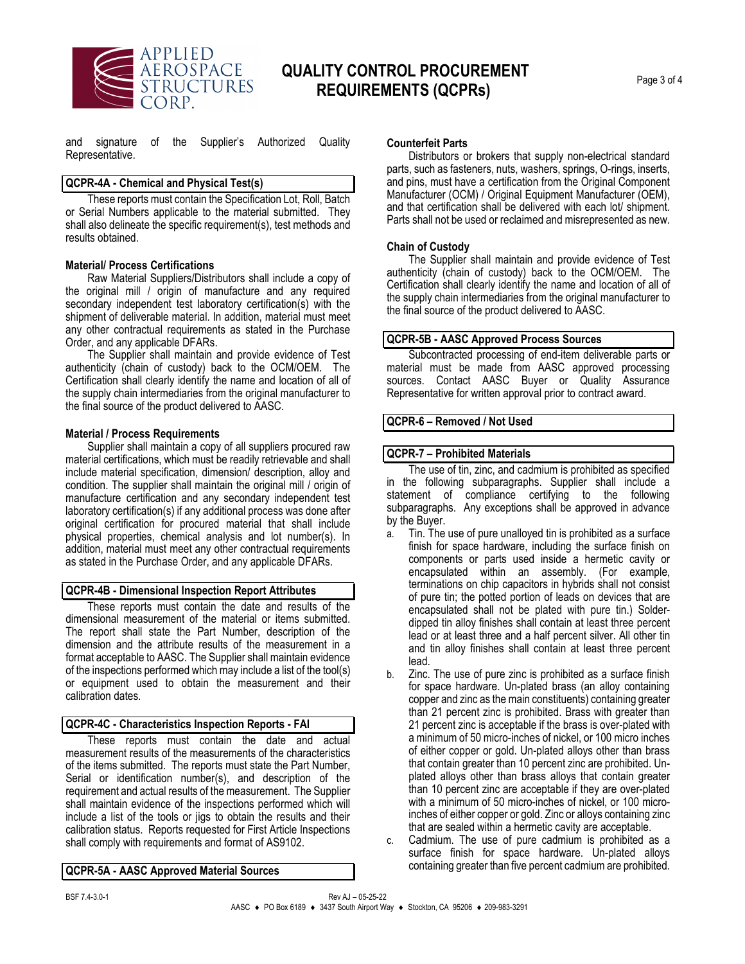

## **QUALITY CONTROL PROCUREMENT REQUIREMENTS (QCPRs)** Page 3 of 4

and signature of the Supplier's Authorized Quality Representative.

## **QCPR-4A - Chemical and Physical Test(s)**

These reports must contain the Specification Lot, Roll, Batch or Serial Numbers applicable to the material submitted. They shall also delineate the specific requirement(s), test methods and results obtained.

#### **Material/ Process Certifications**

Raw Material Suppliers/Distributors shall include a copy of the original mill / origin of manufacture and any required secondary independent test laboratory certification(s) with the shipment of deliverable material. In addition, material must meet any other contractual requirements as stated in the Purchase Order, and any applicable DFARs.

The Supplier shall maintain and provide evidence of Test authenticity (chain of custody) back to the OCM/OEM. The Certification shall clearly identify the name and location of all of the supply chain intermediaries from the original manufacturer to the final source of the product delivered to AASC.

#### **Material / Process Requirements**

Supplier shall maintain a copy of all suppliers procured raw material certifications, which must be readily retrievable and shall include material specification, dimension/ description, alloy and condition. The supplier shall maintain the original mill / origin of manufacture certification and any secondary independent test laboratory certification(s) if any additional process was done after original certification for procured material that shall include physical properties, chemical analysis and lot number(s). In addition, material must meet any other contractual requirements as stated in the Purchase Order, and any applicable DFARs.

#### **QCPR-4B - Dimensional Inspection Report Attributes**

These reports must contain the date and results of the dimensional measurement of the material or items submitted. The report shall state the Part Number, description of the dimension and the attribute results of the measurement in a format acceptable to AASC. The Supplier shall maintain evidence of the inspections performed which may include a list of the tool(s) or equipment used to obtain the measurement and their calibration dates.

#### **QCPR-4C - Characteristics Inspection Reports - FAI**

These reports must contain the date and actual measurement results of the measurements of the characteristics of the items submitted. The reports must state the Part Number, Serial or identification number(s), and description of the requirement and actual results of the measurement. The Supplier shall maintain evidence of the inspections performed which will include a list of the tools or jigs to obtain the results and their calibration status. Reports requested for First Article Inspections shall comply with requirements and format of AS9102.

#### **QCPR-5A - AASC Approved Material Sources**

## **Counterfeit Parts**

Distributors or brokers that supply non-electrical standard parts, such as fasteners, nuts, washers, springs, O-rings, inserts, and pins, must have a certification from the Original Component Manufacturer (OCM) / Original Equipment Manufacturer (OEM), and that certification shall be delivered with each lot/ shipment. Parts shall not be used or reclaimed and misrepresented as new.

#### **Chain of Custody**

The Supplier shall maintain and provide evidence of Test authenticity (chain of custody) back to the OCM/OEM. The Certification shall clearly identify the name and location of all of the supply chain intermediaries from the original manufacturer to the final source of the product delivered to AASC.

#### **QCPR-5B - AASC Approved Process Sources**

Subcontracted processing of end-item deliverable parts or material must be made from AASC approved processing sources. Contact AASC Buyer or Quality Assurance Representative for written approval prior to contract award.

#### **QCPR-6 – Removed / Not Used**

#### **QCPR-7 – Prohibited Materials**

The use of tin, zinc, and cadmium is prohibited as specified in the following subparagraphs. Supplier shall include a statement of compliance certifying to the following subparagraphs. Any exceptions shall be approved in advance by the Buyer.

- a. Tin. The use of pure unalloyed tin is prohibited as a surface finish for space hardware, including the surface finish on components or parts used inside a hermetic cavity or encapsulated within an assembly. (For example, terminations on chip capacitors in hybrids shall not consist of pure tin; the potted portion of leads on devices that are encapsulated shall not be plated with pure tin.) Solderdipped tin alloy finishes shall contain at least three percent lead or at least three and a half percent silver. All other tin and tin alloy finishes shall contain at least three percent lead.
- Zinc. The use of pure zinc is prohibited as a surface finish for space hardware. Un-plated brass (an alloy containing copper and zinc as the main constituents) containing greater than 21 percent zinc is prohibited. Brass with greater than 21 percent zinc is acceptable if the brass is over-plated with a minimum of 50 micro-inches of nickel, or 100 micro inches of either copper or gold. Un-plated alloys other than brass that contain greater than 10 percent zinc are prohibited. Unplated alloys other than brass alloys that contain greater than 10 percent zinc are acceptable if they are over-plated with a minimum of 50 micro-inches of nickel, or 100 microinches of either copper or gold. Zinc or alloys containing zinc that are sealed within a hermetic cavity are acceptable.
- c. Cadmium. The use of pure cadmium is prohibited as a surface finish for space hardware. Un-plated alloys containing greater than five percent cadmium are prohibited.